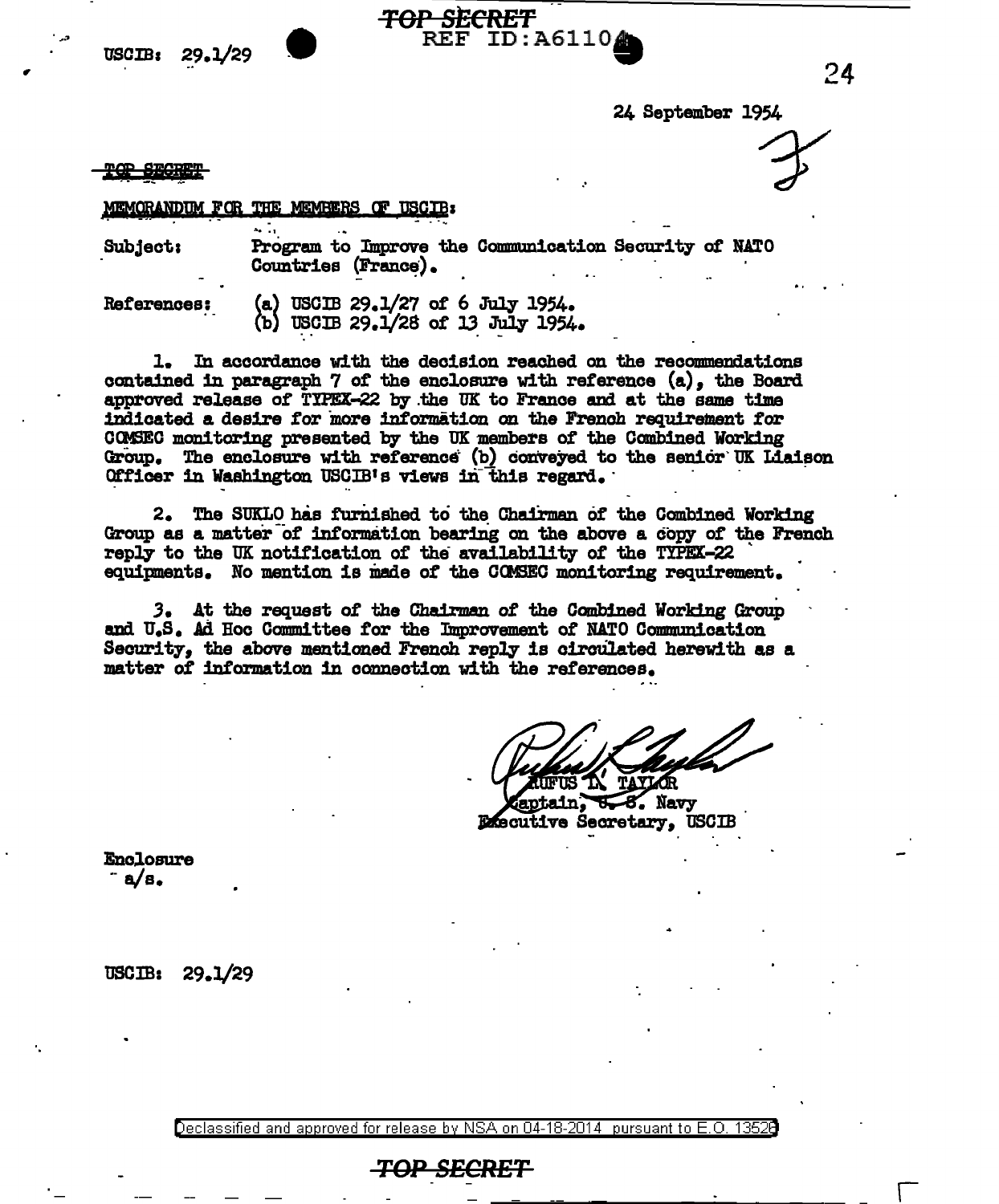



24 September 1954

rer Secret

## MEMORANDUM FOR THE MEMBERS OF USCIB:

Program to Improve the Communication Security of NATO Subject: Countries (France).

ID:A6110

(a) USCIB 29.1/27 of 6 July 1954. **References:** (b) USCIB 29.1/28 of 13 July 1954.

1. In accordance with the decision reached on the recommendations contained in paragraph 7 of the enclosure with reference (a), the Board approved release of TIPEX-22 by the UK to France and at the same time indicated a desire for more information on the French requirement for COMSEC monitoring presented by the UK members of the Combined Working Group. The enclosure with reference (b) conveyed to the senior UK Liaison Officer in Washington USCIB's views in this regard.

2. The SUKLO has furnished to the Chairman of the Combined Working Group as a matter of information bearing on the above a copy of the French reply to the UK notification of the availability of the TIPEX-22 equipments. No mention is made of the COMSEC monitoring requirement.

3. At the request of the Chairman of the Combined Working Group and U.S. Ad Hoc Committee for the Improvement of NATO Communication Security, the above mentioned French reply is circulated herewith as a matter of information in connection with the references.

**TAVLAR** 

ain: **U-8.** Navy **Executive Secretary. USCIB** 

Enclosure  $a/s.$ 

**USCIB:**  $29.1/29$ 

Declassified and approved for release by NSA on 04-18-2014 pursuant to E.O. 13526

## <del>TOP SECRET</del>